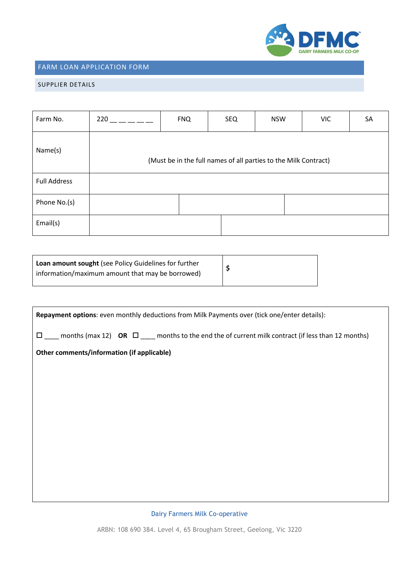

## FARM LOAN APPLICATION FORM

### SUPPLIER DETAILS

| Farm No.            | 220                                                             | <b>FNQ</b> | <b>SEQ</b> | <b>NSW</b> | <b>VIC</b> | SA |
|---------------------|-----------------------------------------------------------------|------------|------------|------------|------------|----|
| Name(s)             | (Must be in the full names of all parties to the Milk Contract) |            |            |            |            |    |
| <b>Full Address</b> |                                                                 |            |            |            |            |    |
| Phone No.(s)        |                                                                 |            |            |            |            |    |
| Email(s)            |                                                                 |            |            |            |            |    |

| Loan amount sought (see Policy Guidelines for further<br>information/maximum amount that may be borrowed) |  |
|-----------------------------------------------------------------------------------------------------------|--|
|-----------------------------------------------------------------------------------------------------------|--|

| Repayment options: even monthly deductions from Milk Payments over (tick one/enter details):                   |  |  |  |
|----------------------------------------------------------------------------------------------------------------|--|--|--|
| months (max 12) OR $\square$ months to the end the of current milk contract (if less than 12 months)<br>$\Box$ |  |  |  |
| Other comments/information (if applicable)                                                                     |  |  |  |
|                                                                                                                |  |  |  |
|                                                                                                                |  |  |  |
|                                                                                                                |  |  |  |
|                                                                                                                |  |  |  |
|                                                                                                                |  |  |  |
|                                                                                                                |  |  |  |
|                                                                                                                |  |  |  |
|                                                                                                                |  |  |  |

Dairy Farmers Milk Co-operative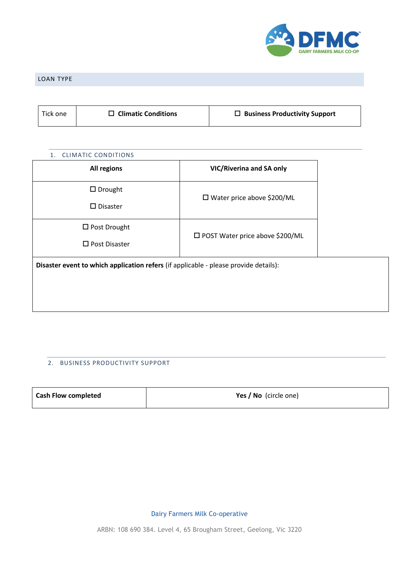

### LOAN TYPE

| $\Box$ Climatic Conditions<br>Tick one | $\Box$ Business Productivity Support |
|----------------------------------------|--------------------------------------|
|----------------------------------------|--------------------------------------|

# 1. CLIMATIC CONDITIONS **All regions VIC/Riverina and SA only** □ Drought □ Disaster Water price above \$200/ML □ Post Drought □ Post Disaster □ POST Water price above \$200/ML **Disaster event to which application refers** (if applicable - please provide details):

### 2. BUSINESS PRODUCTIVITY SUPPORT

| <b>Cash Flow completed</b> | Yes / No (circle one) |
|----------------------------|-----------------------|
|                            |                       |

Dairy Farmers Milk Co-operative